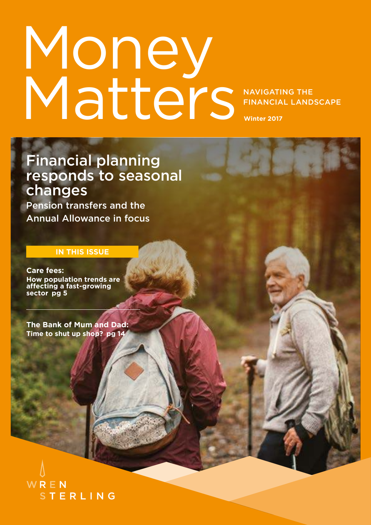# NAVIGATING THE FINANCIAL LANDSCAPE **Winter 2017** Money Matters

Financial planning responds to seasonal changes

Pension transfers and the Annual Allowance in focus

### **IN THIS ISSUE**

**Care fees: How population trends are affecting a fast-growing sector pg 5**

**The Bank of Mum and Dad: Time to shut up shop? pg 14**

WREN **STERLING**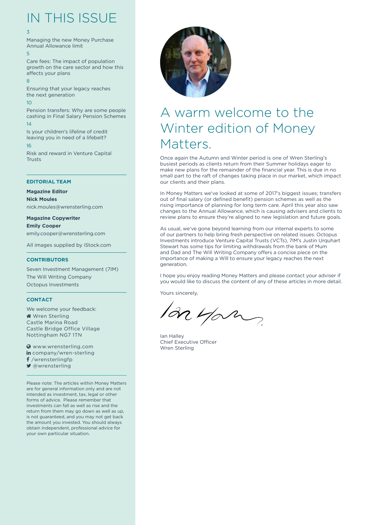## IN THIS ISSUE

#### 3

Managing the new Money Purchase Annual Allowance limit 5

Care fees: The impact of population growth on the care sector and how this affects your plans 8

Ensuring that your legacy reaches the next generation  $1<sub>0</sub>$ Pension transfers: Why are some people cashing in Final Salary Pension Schemes 14

Is your children's lifeline of credit leaving you in need of a lifebelt? 16 Risk and reward in Venture Capital

Trusts

#### **EDITORIAL TEAM**

**Magazine Editor**

**Nick Moules** nick.moules@wrensterling.com

**Magazine Copywriter Emily Cooper** emily.cooper@wrensterling.com

All images supplied by iStock.com

#### **CONTRIBUTORS**

Seven Investment Management (7IM) The Will Writing Company Octopus Investments

#### **CONTACT**

We welcome your feedback: Wren Sterling Castle Marina Road Castle Bridge Office Village Nottingham NG7 1TN

**WWW.wrensterling.com** in company/wren-sterling f /wrensterlingfp ■ @wrensterling

Please note: The articles within Money Matters are for general information only and are not intended as investment, tax, legal or other forms of advice. Please remember that investments can fall as well as rise and the return from them may go down as well as up, is not guaranteed, and you may not get back the amount you invested. You should always obtain independent, professional advice for your own particular situation.



## A warm welcome to the Winter edition of Money Matters.

Once again the Autumn and Winter period is one of Wren Sterling's busiest periods as clients return from their Summer holidays eager to make new plans for the remainder of the financial year. This is due in no small part to the raft of changes taking place in our market, which impact our clients and their plans.

In Money Matters we've looked at some of 2017's biggest issues; transfers out of final salary (or defined benefit) pension schemes as well as the rising importance of planning for long term care. April this year also saw changes to the Annual Allowance, which is causing advisers and clients to review plans to ensure they're aligned to new legislation and future goals.

As usual, we've gone beyond learning from our internal experts to some of our partners to help bring fresh perspective on related issues. Octopus Investments introduce Venture Capital Trusts (VCTs), 7IM's Justin Urquhart Stewart has some tips for limiting withdrawals from the bank of Mum and Dad and The Will Writing Company offers a concise piece on the importance of making a Will to ensure your legacy reaches the next generation.

I hope you enjoy reading Money Matters and please contact your adviser if you would like to discuss the content of any of these articles in more detail.

Yours sincerely,

an you

Ian Halley Chief Executive Officer Wren Sterling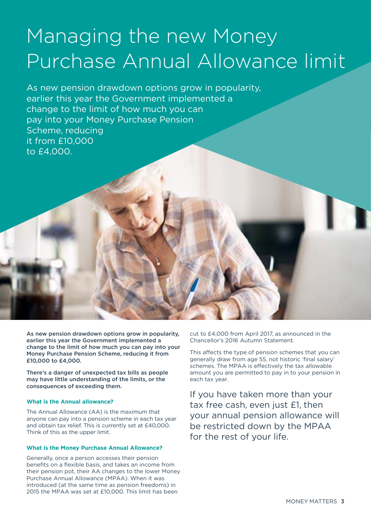# Managing the new Money Purchase Annual Allowance limit

As new pension drawdown options grow in popularity, earlier this year the Government implemented a change to the limit of how much you can pay into your Money Purchase Pension Scheme, reducing it from £10,000 to £4,000.

As new pension drawdown options grow in popularity, earlier this year the Government implemented a change to the limit of how much you can pay into your Money Purchase Pension Scheme, reducing it from £10,000 to £4,000.

There's a danger of unexpected tax bills as people may have little understanding of the limits, or the consequences of exceeding them.

#### **What is the Annual allowance?**

The Annual Allowance (AA) is the maximum that anyone can pay into a pension scheme in each tax year and obtain tax relief. This is currently set at £40,000. Think of this as the upper limit.

#### **What is the Money Purchase Annual Allowance?**

Generally, once a person accesses their pension benefits on a flexible basis, and takes an income from their pension pot, their AA changes to the lower Money Purchase Annual Allowance (MPAA). When it was introduced (at the same time as pension freedoms) in 2015 the MPAA was set at £10,000. This limit has been

cut to £4,000 from April 2017, as announced in the Chancellor's 2016 Autumn Statement.

This affects the type of pension schemes that you can generally draw from age 55, not historic 'final salary' schemes. The MPAA is effectively the tax allowable amount you are permitted to pay in to your pension in each tax year.

If you have taken more than your tax free cash, even just £1, then your annual pension allowance will be restricted down by the MPAA for the rest of your life.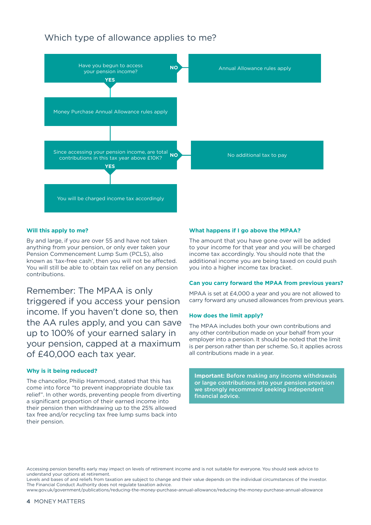### Which type of allowance applies to me?



#### **Will this apply to me?**

By and large, if you are over 55 and have not taken anything from your pension, or only ever taken your Pension Commencement Lump Sum (PCLS), also known as 'tax-free cash', then you will not be affected. You will still be able to obtain tax relief on any pension contributions.

Remember: The MPAA is only triggered if you access your pension income. If you haven't done so, then the AA rules apply, and you can save up to 100% of your earned salary in your pension, capped at a maximum of £40,000 each tax year.

#### **Why is it being reduced?**

The chancellor, Philip Hammond, stated that this has come into force "to prevent inappropriate double tax relief". In other words, preventing people from diverting a significant proportion of their earned income into their pension then withdrawing up to the 25% allowed tax free and/or recycling tax free lump sums back into their pension.

#### **What happens if I go above the MPAA?**

The amount that you have gone over will be added to your income for that year and you will be charged income tax accordingly. You should note that the additional income you are being taxed on could push you into a higher income tax bracket.

#### **Can you carry forward the MPAA from previous years?**

MPAA is set at £4,000 a year and you are not allowed to carry forward any unused allowances from previous years.

#### **How does the limit apply?**

The MPAA includes both your own contributions and any other contribution made on your behalf from your employer into a pension. It should be noted that the limit is per person rather than per scheme. So, it applies across all contributions made in a year.

**Important:** Before making any income withdrawals or large contributions into your pension provision we strongly recommend seeking independent financial advice.

Accessing pension benefits early may impact on levels of retirement income and is not suitable for everyone. You should seek advice to understand your options at retirement.

Levels and bases of and reliefs from taxation are subject to change and their value depends on the individual circumstances of the investor. The Financial Conduct Authority does not regulate taxation advice.

www.gov.uk/government/publications/reducing-the-money-purchase-annual-allowance/reducing-the-money-purchase-annual-allowance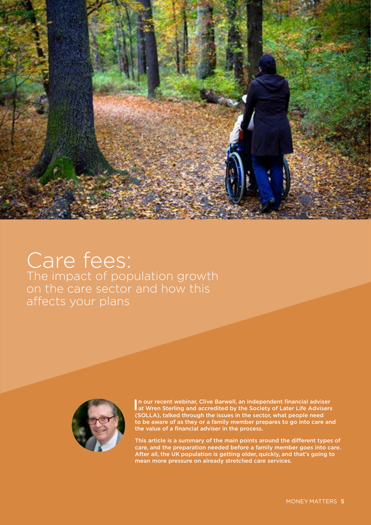

## Care fees: The impact of population growth on the care sector and how this affects your plans



In our recent webinar, Clive Barwell, an independent financial adviser at Wren Sterling and accredited by the Society of Later Life Advisers at Wren Sterling and accredited by the Society of Later Life Advisers (SOLLA), talked through the issues in the sector, what people need to be aware of as they or a family member prepares to go into care and the value of a financial adviser in the process.

This article is a summary of the main points around the different types of care, and the preparation needed before a family member goes into care. After all, the UK population is getting older, quickly, and that's going to mean more pressure on already stretched care services.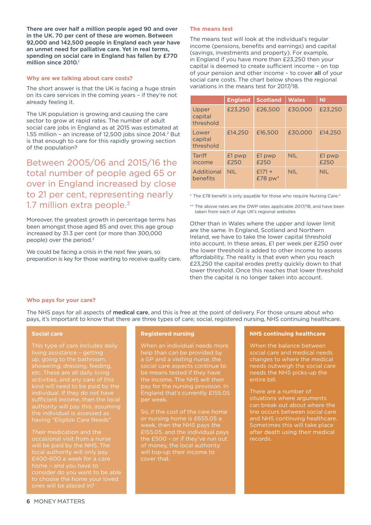There are over half a million people aged 90 and over in the UK. 70 per cent of these are women. Between 92,000 and 142,500 people in England each year have an unmet need for palliative care. Yet in real terms, spending on social care in England has fallen by £770 million since 2010.<sup>1</sup>

#### **Why are we talking about care costs?**

The short answer is that the UK is facing a huge strain on its care services in the coming years – if they're not already feeling it.

The UK population is growing and causing the care sector to grow at rapid rates. The number of adult social care jobs in England as at 2015 was estimated at 1.55 million - an increase of 12,500 jobs since 2014.<sup>2</sup> But is that enough to care for this rapidly growing section of the population?

Between 2005/06 and 2015/16 the total number of people aged 65 or over in England increased by close to 21 per cent, representing nearly 1.7 million extra people. $3$ 

Moreover, the greatest growth in percentage terms has been amongst those aged 85 and over, this age group increased by 31.3 per cent (or more than 300,000 people) over the period.<sup>3</sup>

We could be facing a crisis in the next few years, so preparation is key for those wanting to receive quality care.

#### **The means test**

The means test will look at the individual's regular income (pensions, benefits and earnings) and capital (savings, investments and property). For example, in England if you have more than £23,250 then your capital is deemed to create sufficient income – on top of your pension and other income – to cover all of your social care costs. The chart below shows the regional variations in the means test for 2017/18.

|                               | <b>England</b> | <b>Scotland</b>          | <b>Wales</b> | ΝI             |
|-------------------------------|----------------|--------------------------|--------------|----------------|
| Upper<br>capital<br>threshold | £23,250        | £26,500                  | £30,000      | £23,250        |
| Lower<br>capital<br>threshold | £14,250        | £16,500                  | £30,000      | £14,250        |
| Tariff<br>income              | £1 pwp<br>£250 | £1 pwp<br>£250           | <b>NIL</b>   | £1 pwp<br>£250 |
| Additional<br>benefits        | NII.           | $f171 +$<br>$£78$ pw $*$ | <b>NIL</b>   | NII.           |

\* The £78 benefit is only payable for those who require Nursing Care.<sup>4</sup>

\*\* The above rates are the DWP rates applicable 2017/18, and have been taken from each of Age UK's regional websites

Other than in Wales where the upper and lower limit are the same. In England, Scotland and Northern Ireland, we have to take the lower capital threshold into account. In these areas, £1 per week per £250 over the lower threshold is added to other income to assess affordability. The reality is that even when you reach £23,250 the capital erodes pretty quickly down to that lower threshold. Once this reaches that lower threshold then the capital is no longer taken into account.

#### **Who pays for your care?**

The NHS pays for all aspects of medical care, and this is free at the point of delivery. For those unsure about who pays, it's important to know that there are three types of care; social, registered nursing, NHS continuing healthcare.

#### **Social care**

showering, dressing, feeding, etc. These are all daily living activities, and any care of this kind will need to be paid by the individual. If they do not have having "Eligible Care Needs".

Their medication and the

#### **Registered nursing**

When an individual needs more help than can be provided by a GP and a visiting nurse, the social care aspects continue to be means tested if they have the income. The NHS will then pay for the nursing provision. In England that's currently £155.05 per week.

So, if the cost of the care home or nursing home is £655.05 a week, then the NHS pays the £155.05, and the individual pays the £500 – or if they've run out

#### **NHS continuing healthcare**

When the balance between social care and medical needs changes to where the medical needs outweigh the social care needs the NHS picks-up the entire bill.

There are a number of situations where arguments can break out about where the line occurs between social care and NHS continuing healthcare. Sometimes this will take place after death using their medical records.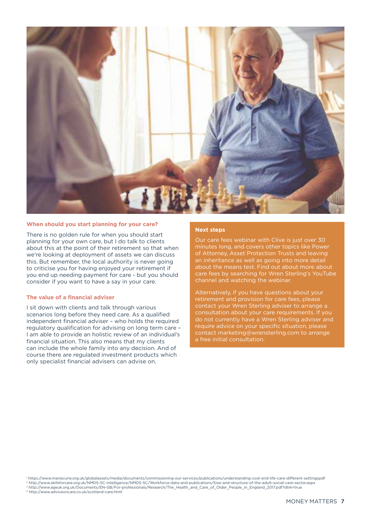

#### **When should you start planning for your care?**

There is no golden rule for when you should start planning for your own care, but I do talk to clients about this at the point of their retirement so that when we're looking at deployment of assets we can discuss this. But remember, the local authority is never going to criticise you for having enjoyed your retirement if you end up needing payment for care - but you should consider if you want to have a say in your care.

#### **The value of a financial adviser**

I sit down with clients and talk through various scenarios long before they need care. As a qualified independent financial adviser – who holds the required regulatory qualification for advising on long term care – I am able to provide an holistic review of an individual's financial situation. This also means that my clients can include the whole family into any decision. And of course there are regulated investment products which only specialist financial advisers can advise on.

#### **Next steps**

Our care fees webinar with Clive is just over 30 minutes long, and covers other topics like Power of Attorney, Asset Protection Trusts and leaving an inheritance as well as going into more detail about the means test. Find out about more about care fees by searching for Wren Sterling's YouTube channel and watching the webinar.

Alternatively, if you have questions about your retirement and provision for care fees, please contact your Wren Sterling adviser to arrange a consultation about your care requirements. If you do not currently have a Wren Sterling adviser and require advice on your specific situation, please contact marketing@wrensterling.com to arrange a free initial consultation.

<sup>1</sup> https://www.mariecurie.org.uk/globalassets/media/documents/commissioning-our-services/publications/understanding-cost-end-life-care-different-settingspdf

<sup>2</sup> http://www.skillsforcare.org.uk/NMDS-SC-intelligence/NMDS-SC/Workforce-data-and-publications/Size-and-structure-of-the-adult-social-care-sector.aspx

<sup>3</sup> http://www.ageuk.org.uk/Documents/EN-GB/For-professionals/Research/The\_Health\_and\_Care\_of\_Older\_People\_in\_England\_2017.pdf?dtrk=true 4 http://www.adviceoncare.co.uk/scotland-care.html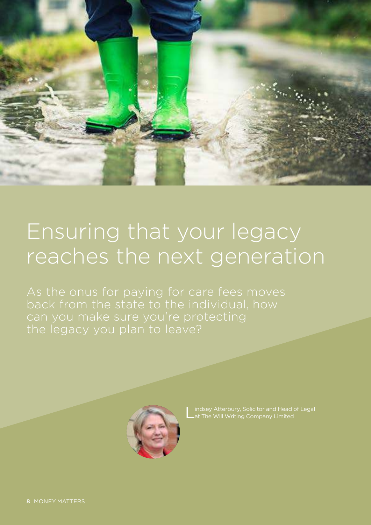

# Ensuring that your legacy reaches the next generation

As the onus for paying for care fees moves the legacy you plan to leave?



L indsey Atterbury, Solicitor and Head of Legal at The Will Writing Company Limited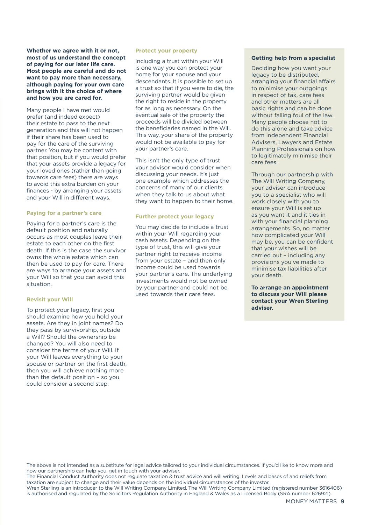**Whether we agree with it or not, most of us understand the concept of paying for our later life care. Most people are careful and do not want to pay more than necessary, although paying for your own care brings with it the choice of where and how you are cared for.**

Many people I have met would prefer (and indeed expect) their estate to pass to the next generation and this will not happen if their share has been used to pay for the care of the surviving partner. You may be content with that position, but if you would prefer that your assets provide a legacy for your loved ones (rather than going towards care fees) there are ways to avoid this extra burden on your finances - by arranging your assets and your Will in different ways.

#### **Paying for a partner's care**

Paying for a partner's care is the default position and naturally occurs as most couples leave their estate to each other on the first death. If this is the case the survivor owns the whole estate which can then be used to pay for care. There are ways to arrange your assets and your Will so that you can avoid this situation.

#### **Revisit your Will**

To protect your legacy, first you should examine how you hold your assets. Are they in joint names? Do they pass by survivorship, outside a Will? Should the ownership be changed? You will also need to consider the terms of your Will. If your Will leaves everything to your spouse or partner on the first death, then you will achieve nothing more than the default position – so you could consider a second step.

#### **Protect your property**

Including a trust within your Will is one way you can protect your home for your spouse and your descendants. It is possible to set up a trust so that if you were to die, the surviving partner would be given the right to reside in the property for as long as necessary. On the eventual sale of the property the proceeds will be divided between the beneficiaries named in the Will. This way, your share of the property would not be available to pay for your partner's care.

This isn't the only type of trust your advisor would consider when discussing your needs. It's just one example which addresses the concerns of many of our clients when they talk to us about what they want to happen to their home.

#### **Further protect your legacy**

You may decide to include a trust within your Will regarding your cash assets. Depending on the type of trust, this will give your partner right to receive income from your estate – and then only income could be used towards your partner's care. The underlying investments would not be owned by your partner and could not be used towards their care fees.

#### **Getting help from a specialist**

Deciding how you want your legacy to be distributed, arranging your financial affairs to minimise your outgoings in respect of tax, care fees and other matters are all basic rights and can be done without falling foul of the law. Many people choose not to do this alone and take advice from Independent Financial Advisers, Lawyers and Estate Planning Professionals on how to legitimately minimise their care fees.

Through our partnership with The Will Writing Company, your adviser can introduce you to a specialist who will work closely with you to ensure your Will is set up as you want it and it ties in with your financial planning arrangements. So, no matter how complicated your Will may be, you can be confident that your wishes will be carried out – including any provisions you've made to minimise tax liabilities after your death.

**To arrange an appointment to discuss your Will please contact your Wren Sterling adviser.**

The above is not intended as a substitute for legal advice tailored to your individual circumstances. If you'd like to know more and how our partnership can help you, get in touch with your adviser.

The Financial Conduct Authority does not regulate taxation & trust advice and will writing. Levels and bases of and reliefs from taxation are subject to change and their value depends on the individual circumstances of the investor.

Wren Sterling is an introducer to the Will Writing Company Limited. The Will Writing Company Limited (registered number 3616406) is authorised and regulated by the Solicitors Regulation Authority in England & Wales as a Licensed Body (SRA number 626921).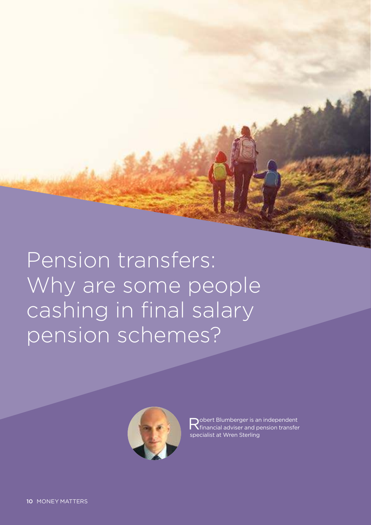Pension transfers: Why are some people cashing in final salary pension schemes?



Robert Blumberger is an independent<br>Refinancial adviser and pension transfer financial adviser and pension transfer specialist at Wren Sterling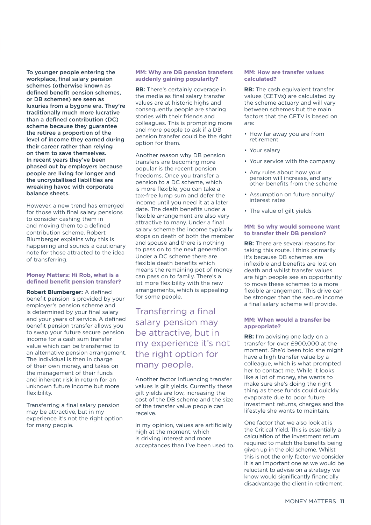To younger people entering the workplace, final salary pension schemes (otherwise known as defined benefit pension schemes, or DB schemes) are seen as luxuries from a bygone era. They're traditionally much more lucrative than a defined contribution (DC) scheme because they guarantee the retiree a proportion of the level of income they earned during their career rather than relying on them to save themselves. In recent years they've been phased out by employers because people are living for longer and the uncrystallised liabilities are wreaking havoc with corporate balance sheets.

However, a new trend has emerged for those with final salary pensions to consider cashing them in and moving them to a defined contribution scheme. Robert Blumberger explains why this is happening and sounds a cautionary note for those attracted to the idea of transferring.

#### **Money Matters: Hi Rob, what is a defined benefit pension transfer?**

**Robert Blumberger:** A defined benefit pension is provided by your employer's pension scheme and is determined by your final salary and your years of service. A defined benefit pension transfer allows you to swap your future secure pension income for a cash sum transfer value which can be transferred to an alternative pension arrangement. The individual is then in charge of their own money, and takes on the management of their funds and inherent risk in return for an unknown future income but more flexibility.

Transferring a final salary pension may be attractive, but in my experience it's not the right option for many people.

#### **MM: Why are DB pension transfers suddenly gaining popularity?**

**RB:** There's certainly coverage in the media as final salary transfer values are at historic highs and consequently people are sharing stories with their friends and colleagues. This is prompting more and more people to ask if a DB pension transfer could be the right option for them.

Another reason why DB pension transfers are becoming more popular is the recent pension freedoms. Once you transfer a pension to a DC scheme, which is more flexible, you can take a tax-free lump sum and defer the income until you need it at a later date. The death benefits under a flexible arrangement are also very attractive to many. Under a final salary scheme the income typically stops on death of both the member and spouse and there is nothing to pass on to the next generation. Under a DC scheme there are flexible death benefits which means the remaining pot of money can pass on to family. There's a lot more flexibility with the new arrangements, which is appealing for some people.

### Transferring a final salary pension may be attractive, but in my experience it's not the right option for many people.

Another factor influencing transfer values is gilt yields. Currently these gilt yields are low, increasing the cost of the DB scheme and the size of the transfer value people can receive.

In my opinion, values are artificially high at the moment, which is driving interest and more acceptances than I've been used to.

#### **MM: How are transfer values calculated?**

**RB:** The cash equivalent transfer values (CETVs) are calculated by the scheme actuary and will vary between schemes but the main factors that the CETV is based on are:

- How far away you are from retirement
- Your salary
- Your service with the company
- Any rules about how your pension will increase, and any other benefits from the scheme
- Assumption on future annuity/ interest rates
- The value of gilt yields

#### **MM: So why would someone want to transfer their DB pension?**

**RB:** There are several reasons for taking this route. I think primarily it's because DB schemes are inflexible and benefits are lost on death and whilst transfer values are high people see an opportunity to move these schemes to a more flexible arrangement. This drive can be stronger than the secure income a final salary scheme will provide.

#### **MM: When would a transfer be appropriate?**

**RB:** I'm advising one lady on a transfer for over £900,000 at the moment. She'd been told she might have a high transfer value by a colleague, which is what prompted her to contact me. While it looks like a lot of money, she wants to make sure she's doing the right thing as these funds could quickly evaporate due to poor future investment returns, charges and the lifestyle she wants to maintain.

One factor that we also look at is the Critical Yield. This is essentially a calculation of the investment return required to match the benefits being given up in the old scheme. Whilst this is not the only factor we consider it is an important one as we would be reluctant to advise on a strategy we know would significantly financially disadvantage the client in retirement.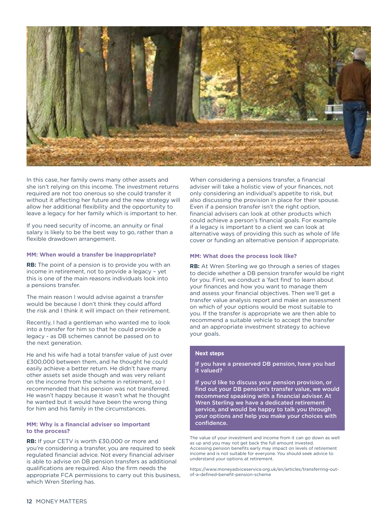

In this case, her family owns many other assets and she isn't relying on this income. The investment returns required are not too onerous so she could transfer it without it affecting her future and the new strategy will allow her additional flexibility and the opportunity to leave a legacy for her family which is important to her.

If you need security of income, an annuity or final salary is likely to be the best way to go, rather than a flexible drawdown arrangement.

#### **MM: When would a transfer be inappropriate?**

**RB:** The point of a pension is to provide you with an income in retirement, not to provide a legacy – yet this is one of the main reasons individuals look into a pensions transfer.

The main reason I would advise against a transfer would be because I don't think they could afford the risk and I think it will impact on their retirement.

Recently, I had a gentleman who wanted me to look into a transfer for him so that he could provide a legacy - as DB schemes cannot be passed on to the next generation.

He and his wife had a total transfer value of just over £300,000 between them, and he thought he could easily achieve a better return. He didn't have many other assets set aside though and was very reliant on the income from the scheme in retirement, so I recommended that his pension was not transferred. He wasn't happy because it wasn't what he thought he wanted but it would have been the wrong thing for him and his family in the circumstances.

#### **MM: Why is a financial adviser so important to the process?**

**RB:** If your CETV is worth £30,000 or more and you're considering a transfer, you are required to seek regulated financial advice. Not every financial adviser is able to advise on DB pension transfers as additional qualifications are required. Also the firm needs the appropriate FCA permissions to carry out this business, which Wren Sterling has.

When considering a pensions transfer, a financial adviser will take a holistic view of your finances, not only considering an individual's appetite to risk, but also discussing the provision in place for their spouse. Even if a pension transfer isn't the right option, financial advisers can look at other products which could achieve a person's financial goals. For example if a legacy is important to a client we can look at alternative ways of providing this such as whole of life cover or funding an alternative pension if appropriate.

#### **MM: What does the process look like?**

**RB:** At Wren Sterling we go through a series of stages to decide whether a DB pension transfer would be right for you. First, we conduct a 'fact find' to learn about your finances and how you want to manage them and assess your financial objectives. Then we'll get a transfer value analysis report and make an assessment on which of your options would be most suitable to you. If the transfer is appropriate we are then able to recommend a suitable vehicle to accept the transfer and an appropriate investment strategy to achieve your goals.

#### **Next steps**

If you have a preserved DB pension, have you had it valued?

If you'd like to discuss your pension provision, or find out your DB pension's transfer value, we would recommend speaking with a financial adviser. At Wren Sterling we have a dedicated retirement service, and would be happy to talk you through your options and help you make your choices with confidence.

The value of your investment and income from it can go down as well as up and you may not get back the full amount invested. Accessing pension benefits early may impact on levels of retirement income and is not suitable for everyone. You should seek advice to understand your options at retirement.

https://www.moneyadviceservice.org.uk/en/articles/transferring-outof-a-defined-benefit-pension-scheme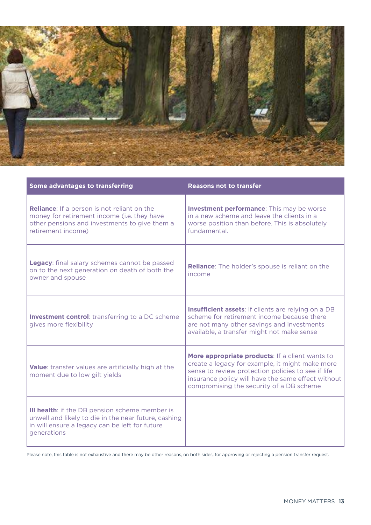

| Some advantages to transferring                                                                                                                                                | <b>Reasons not to transfer</b>                                                                                                                                                                                                                             |  |  |
|--------------------------------------------------------------------------------------------------------------------------------------------------------------------------------|------------------------------------------------------------------------------------------------------------------------------------------------------------------------------------------------------------------------------------------------------------|--|--|
| <b>Reliance:</b> If a person is not reliant on the<br>money for retirement income (i.e. they have<br>other pensions and investments to give them a<br>retirement income)       | <b>Investment performance:</b> This may be worse<br>in a new scheme and leave the clients in a<br>worse position than before. This is absolutely<br>fundamental.                                                                                           |  |  |
| Legacy: final salary schemes cannot be passed<br>on to the next generation on death of both the<br>owner and spouse                                                            | <b>Reliance:</b> The holder's spouse is reliant on the<br>income                                                                                                                                                                                           |  |  |
| <b>Investment control:</b> transferring to a DC scheme<br>gives more flexibility                                                                                               | Insufficient assets: If clients are relying on a DB<br>scheme for retirement income because there<br>are not many other savings and investments<br>available, a transfer might not make sense                                                              |  |  |
| Value: transfer values are artificially high at the<br>moment due to low gilt yields                                                                                           | More appropriate products: If a client wants to<br>create a legacy for example, it might make more<br>sense to review protection policies to see if life<br>insurance policy will have the same effect without<br>compromising the security of a DB scheme |  |  |
| <b>III health:</b> if the DB pension scheme member is<br>unwell and likely to die in the near future, cashing<br>in will ensure a legacy can be left for future<br>generations |                                                                                                                                                                                                                                                            |  |  |

Please note, this table is not exhaustive and there may be other reasons, on both sides, for approving or rejecting a pension transfer request.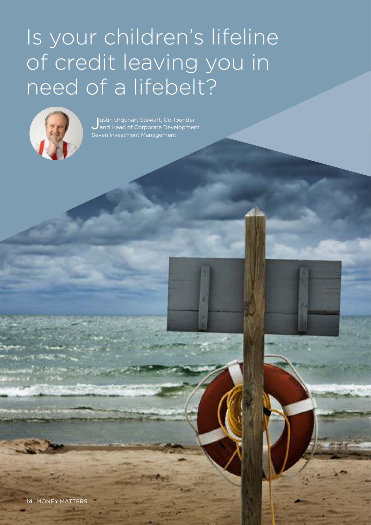# Is your children's lifeline of credit leaving you in need of a lifebelt?



J and Head of Corporate Development, ustin Urquhart Stewart, Co-founder Seven Investment Management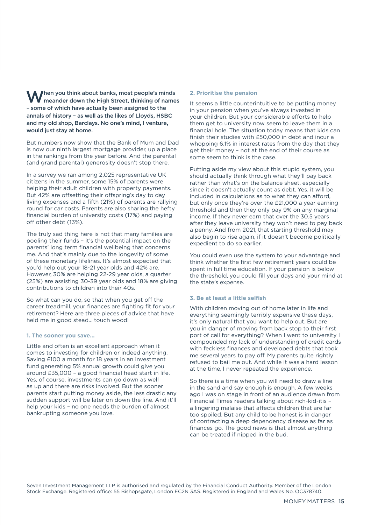When you think about banks, most people's minds meander down the High Street, thinking of names – some of which have actually been assigned to the annals of history – as well as the likes of Lloyds, HSBC and my old shop, Barclays. No one's mind, I venture, would just stay at home.

But numbers now show that the Bank of Mum and Dad is now our ninth largest mortgage provider, up a place in the rankings from the year before. And the parental (and grand parental) generosity doesn't stop there.

In a survey we ran among 2,025 representative UK citizens in the summer, some 15% of parents were helping their adult children with property payments. But 42% are offsetting their offspring's day to day living expenses and a fifth (21%) of parents are rallying round for car costs. Parents are also sharing the hefty financial burden of university costs (17%) and paying off other debt (13%).

The truly sad thing here is not that many families are pooling their funds – it's the potential impact on the parents' long term financial wellbeing that concerns me. And that's mainly due to the longevity of some of these monetary lifelines. It's almost expected that you'd help out your 18-21 year olds and 42% are. However, 30% are helping 22-29 year olds, a quarter (25%) are assisting 30-39 year olds and 18% are giving contributions to children into their 40s.

So what can you do, so that when you get off the career treadmill, your finances are fighting fit for your retirement? Here are three pieces of advice that have held me in good stead… touch wood!

#### **1. The sooner you save…**

Little and often is an excellent approach when it comes to investing for children or indeed anything. Saving £100 a month for 18 years in an investment fund generating 5% annual growth could give you around £35,000 – a good financial head start in life. Yes, of course, investments can go down as well as up and there are risks involved. But the sooner parents start putting money aside, the less drastic any sudden support will be later on down the line. And it'll help your kids – no one needs the burden of almost bankrupting someone you love.

#### **2. Prioritise the pension**

It seems a little counterintuitive to be putting money in your pension when you've always invested in your children. But your considerable efforts to help them get to university now seem to leave them in a financial hole. The situation today means that kids can finish their studies with £50,000 in debt and incur a whopping 6.1% in interest rates from the day that they get their money – not at the end of their course as some seem to think is the case.

Putting aside my view about this stupid system, you should actually think through what they'll pay back rather than what's on the balance sheet, especially since it doesn't actually count as debt. Yes, it will be included in calculations as to what they can afford, but only once they're over the £21,000 a year earning threshold and then they only pay 9% on any marginal income. If they never earn that over the 30.5 years after they leave university they won't need to pay back a penny. And from 2021, that starting threshold may also begin to rise again, if it doesn't become politically expedient to do so earlier.

You could even use the system to your advantage and think whether the first few retirement years could be spent in full time education. If your pension is below the threshold, you could fill your days and your mind at the state's expense.

#### **3. Be at least a little selfish**

With children moving out of home later in life and everything seemingly terribly expensive these days, it's only natural that you want to help out. But are you in danger of moving from back stop to their first port of call for everything? When I went to university I compounded my lack of understanding of credit cards with feckless finances and developed debts that took me several years to pay off. My parents quite rightly refused to bail me out. And while it was a hard lesson at the time, I never repeated the experience.

So there is a time when you will need to draw a line in the sand and say enough is enough. A few weeks ago I was on stage in front of an audience drawn from Financial Times readers talking about rich-kid-itis – a lingering malaise that affects children that are far too spoiled. But any child to be honest is in danger of contracting a deep dependency disease as far as finances go. The good news is that almost anything can be treated if nipped in the bud.

Seven Investment Management LLP is authorised and regulated by the Financial Conduct Authority. Member of the London Stock Exchange. Registered office: 55 Bishopsgate, London EC2N 3AS. Registered in England and Wales No. OC378740.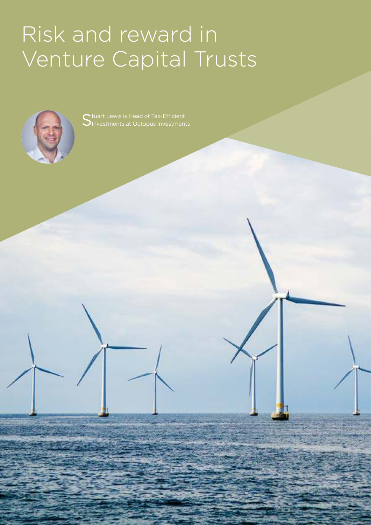# Risk and reward in Venture Capital Trusts



Stuart Lewis is Head of Tax-Efficient<br>Sinvestments at Octopus Investment  $\sum$ Investments at Octopus Investments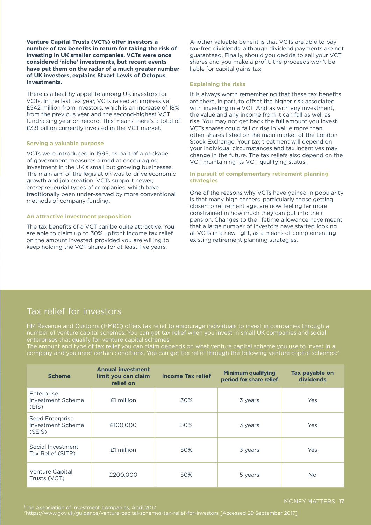**Venture Capital Trusts (VCTs) offer investors a number of tax benefits in return for taking the risk of investing in UK smaller companies. VCTs were once considered 'niche' investments, but recent events have put them on the radar of a much greater number of UK investors, explains Stuart Lewis of Octopus Investments.**

There is a healthy appetite among UK investors for VCTs. In the last tax year, VCTs raised an impressive £542 million from investors, which is an increase of 18% from the previous year and the second-highest VCT fundraising year on record. This means there's a total of £3.9 billion currently invested in the VCT market.<sup>1</sup>

#### **Serving a valuable purpose**

VCTs were introduced in 1995, as part of a package of government measures aimed at encouraging investment in the UK's small but growing businesses. The main aim of the legislation was to drive economic growth and job creation. VCTs support newer, entrepreneurial types of companies, which have traditionally been under-served by more conventional methods of company funding.

#### **An attractive investment proposition**

The tax benefits of a VCT can be quite attractive. You are able to claim up to 30% upfront income tax relief on the amount invested, provided you are willing to keep holding the VCT shares for at least five years.

Another valuable benefit is that VCTs are able to pay tax-free dividends, although dividend payments are not guaranteed. Finally, should you decide to sell your VCT shares and you make a profit, the proceeds won't be liable for capital gains tax.

#### **Explaining the risks**

It is always worth remembering that these tax benefits are there, in part, to offset the higher risk associated with investing in a VCT. And as with any investment, the value and any income from it can fall as well as rise. You may not get back the full amount you invest. VCTs shares could fall or rise in value more than other shares listed on the main market of the London Stock Exchange. Your tax treatment will depend on your individual circumstances and tax incentives may change in the future. The tax reliefs also depend on the VCT maintaining its VCT-qualifying status.

#### **In pursuit of complementary retirement planning strategies**

One of the reasons why VCTs have gained in popularity is that many high earners, particularly those getting closer to retirement age, are now feeling far more constrained in how much they can put into their pension. Changes to the lifetime allowance have meant that a large number of investors have started looking at VCTs in a new light, as a means of complementing existing retirement planning strategies.

### Tax relief for investors

HM Revenue and Customs (HMRC) offers tax relief to encourage individuals to invest in companies through a enterprises that qualify for venture capital schemes.

The amount and type of tax relief you can claim depends on what venture capital scheme you use to invest in a company and you meet certain conditions. You can get tax relief through the following venture capital schemes:<sup>2</sup>

| <b>Scheme</b>                                  | <b>Annual investment</b><br>limit you can claim<br>relief on | <b>Income Tax relief</b> | <b>Minimum qualifying</b><br>period for share relief | Tax payable on<br>dividends |
|------------------------------------------------|--------------------------------------------------------------|--------------------------|------------------------------------------------------|-----------------------------|
| Enterprise<br>Investment Scheme<br>(EIS)       | £1 million                                                   | 30%                      | 3 years                                              | Yes                         |
| Seed Enterprise<br>Investment Scheme<br>(SEIS) | £100,000                                                     | 50%                      | 3 years                                              | Yes                         |
| Social Investment<br>Tax Relief (SITR)         | £1 million                                                   | 30%                      | 3 years                                              | Yes                         |
| Venture Capital<br>Trusts (VCT)                | £200,000                                                     | 30%                      | 5 years                                              | <b>No</b>                   |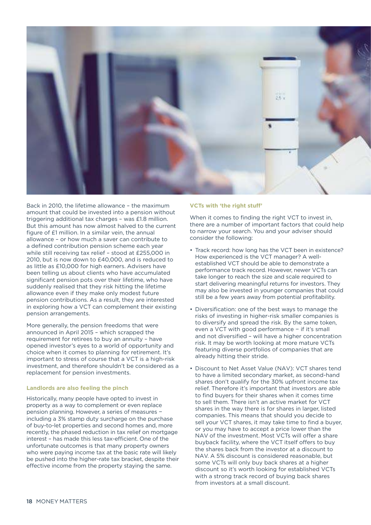

Back in 2010, the lifetime allowance – the maximum amount that could be invested into a pension without triggering additional tax charges – was £1.8 million. But this amount has now almost halved to the current figure of £1 million. In a similar vein, the annual allowance – or how much a saver can contribute to a defined contribution pension scheme each year while still receiving tax relief – stood at £255,000 in 2010, but is now down to £40,000, and is reduced to as little as £10,000 for high earners. Advisers have been telling us about clients who have accumulated significant pension pots over their lifetime, who have suddenly realised that they risk hitting the lifetime allowance even if they make only modest future pension contributions. As a result, they are interested in exploring how a VCT can complement their existing pension arrangements.

More generally, the pension freedoms that were announced in April 2015 – which scrapped the requirement for retirees to buy an annuity – have opened investor's eyes to a world of opportunity and choice when it comes to planning for retirement. It's important to stress of course that a VCT is a high-risk investment, and therefore shouldn't be considered as a replacement for pension investments.

#### **Landlords are also feeling the pinch**

Historically, many people have opted to invest in property as a way to complement or even replace pension planning. However, a series of measures − including a 3% stamp duty surcharge on the purchase of buy-to-let properties and second homes and, more recently, the phased reduction in tax relief on mortgage interest – has made this less tax-efficient. One of the unfortunate outcomes is that many property owners who were paying income tax at the basic rate will likely be pushed into the higher-rate tax bracket, despite their effective income from the property staying the same.

#### **VCTs with 'the right stuff'**

When it comes to finding the right VCT to invest in, there are a number of important factors that could help to narrow your search. You and your adviser should consider the following:

- Track record: how long has the VCT been in existence? How experienced is the VCT manager? A wellestablished VCT should be able to demonstrate a performance track record. However, newer VCTs can take longer to reach the size and scale required to start delivering meaningful returns for investors. They may also be invested in younger companies that could still be a few years away from potential profitability.
- Diversification: one of the best ways to manage the risks of investing in higher-risk smaller companies is to diversify and spread the risk. By the same token, even a VCT with good performance − if it's small and not diversified – will have a higher concentration risk. It may be worth looking at more mature VCTs featuring diverse portfolios of companies that are already hitting their stride.
- Discount to Net Asset Value (NAV): VCT shares tend to have a limited secondary market, as second-hand shares don't qualify for the 30% upfront income tax relief. Therefore it's important that investors are able to find buyers for their shares when it comes time to sell them. There isn't an active market for VCT shares in the way there is for shares in larger, listed companies. This means that should you decide to sell your VCT shares, it may take time to find a buyer, or you may have to accept a price lower than the NAV of the investment. Most VCTs will offer a share buyback facility, where the VCT itself offers to buy the shares back from the investor at a discount to NAV. A 5% discount is considered reasonable, but some VCTs will only buy back shares at a higher discount so it's worth looking for established VCTs with a strong track record of buying back shares from investors at a small discount.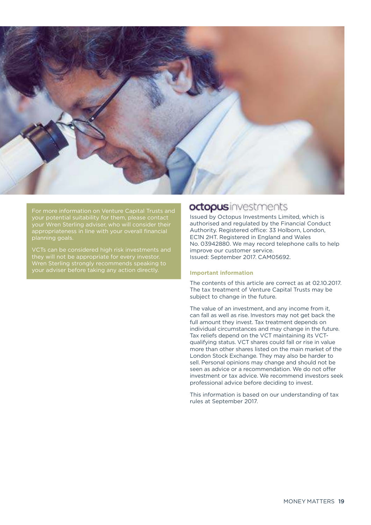

For more information on Venture Capital Trusts and your potential suitability for them, please contact planning goals.

VCTs can be considered high risk investments and they will not be appropriate for every investor. Wren Sterling strongly recommends speaking to your adviser before taking any action directly.

### octopusinvestments

Issued by Octopus Investments Limited, which is authorised and regulated by the Financial Conduct Authority. Registered office: 33 Holborn, London, EC1N 2HT. Registered in England and Wales No. 03942880. We may record telephone calls to help improve our customer service. Issued: September 2017. CAM05692.

#### **Important information**

The contents of this article are correct as at 02.10.2017. The tax treatment of Venture Capital Trusts may be subject to change in the future.

The value of an investment, and any income from it, can fall as well as rise. Investors may not get back the full amount they invest. Tax treatment depends on individual circumstances and may change in the future. Tax reliefs depend on the VCT maintaining its VCTqualifying status. VCT shares could fall or rise in value more than other shares listed on the main market of the London Stock Exchange. They may also be harder to sell. Personal opinions may change and should not be seen as advice or a recommendation. We do not offer investment or tax advice. We recommend investors seek professional advice before deciding to invest.

This information is based on our understanding of tax rules at September 2017.